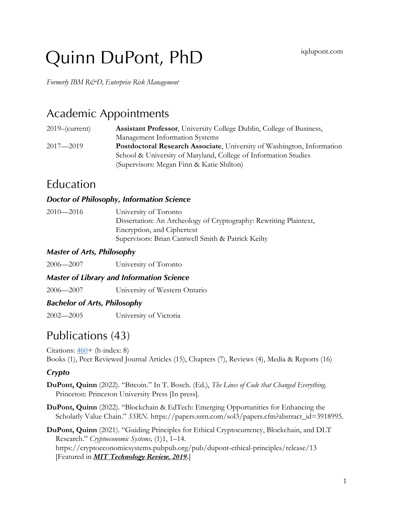# Quinn DuPont, PhD iqdupont.com

*Formerly IBM R&D, Enterprise Risk Management*

# Academic Appointments

| $2019$ –(current) | <b>Assistant Professor</b> , University College Dublin, College of Business, |
|-------------------|------------------------------------------------------------------------------|
|                   | Management Information Systems                                               |
| $2017 - 2019$     | Postdoctoral Research Associate, University of Washington, Information       |
|                   | School & University of Maryland, College of Information Studies              |
|                   | (Supervisors: Megan Finn & Katie Shilton)                                    |

# Education

#### *Doctor of Philosophy, Information Science*

2010—2016 University of Toronto Dissertation: An Archeology of Cryptography: Rewriting Plaintext, Encryption, and Ciphertext Supervisors: Brian Cantwell Smith & Patrick Keilty

### *Master of Arts, Philosophy*

2006—2007 University of Toronto

### *Master of Library and Information Science*

2006—2007 University of Western Ontario

#### *Bachelor of Arts, Philosophy*

2002—2005 University of Victoria

# Publications (43)

Citations: 460+ (h-index: 8) Books (1), Peer Reviewed Journal Articles (15), Chapters (7), Reviews (4), Media & Reports (16)

### *Crypto*

- **DuPont, Quinn** (2022). "Bitcoin." In T. Bosch. (Ed.), *The Lines of Code that Changed Everything*. Princeton: Princeton University Press [In press].
- **DuPont, Quinn** (2022). "Blockchain & EdTech: Emerging Opportunities for Enhancing the Scholarly Value Chain." *SSRN*. https://papers.ssrn.com/sol3/papers.cfm?abstract\_id=3918995.

**DuPont, Quinn** (2021). "Guiding Principles for Ethical Cryptocurrency, Blockchain, and DLT Research." *Cryptoeconomic Systems,* (1)1, 1–14. https://cryptoeconomicsystems.pubpub.org/pub/dupont-ethical-principles/release/13 [Featured in *MIT Technology Review, 2019***.**]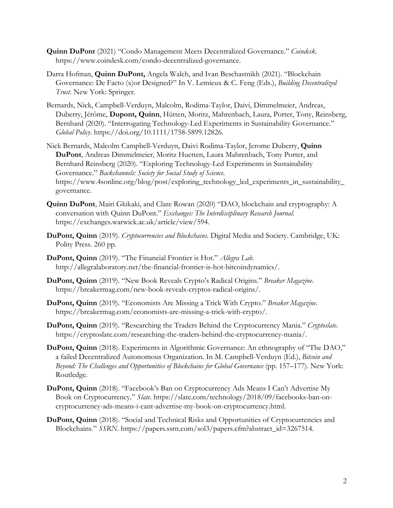- **Quinn DuPont** (2021) "Condo Management Meets Decentralized Governance." *Coindesk*. https://www.coindesk.com/condo-decentralized-governance.
- Darra Hofman, **Quinn DuPont,** Angela Walch, and Ivan Beschastnikh (2021). "Blockchain Governance: De Facto (x)or Designed?" In V. Lemieux & C. Feng (Eds.), *Building Decentralized Trust*. New York: Springer.
- Bernards, Nick, Campbell-Verduyn, Malcolm, Rodima-Taylor, Daivi, Dimmelmeier, Andreas, Duberry, Jérôme, **Dupont, Quinn**, Hütten, Moritz, Mahrenbach, Laura, Porter, Tony, Reinsberg, Bernhard (2020). "Interrogating Technology-Led Experiments in Sustainability Governance." *Global Policy*. https://doi.org/10.1111/1758-5899.12826.
- Nick Bernards, Malcolm Campbell-Verduyn, Daivi Rodima-Taylor, Jerome Duberry, **Quinn DuPont**, Andreas Dimmelmeier, Moritz Huetten, Laura Mahrenbach, Tony Porter, and Bernhard Reinsberg (2020). "Exploring Technology-Led Experiments in Sustainability Governance." *Backchannels: Society for Social Study of Science*. https://www.4sonline.org/blog/post/exploring\_technology\_led\_experiments\_in\_sustainability\_ governance.
- **Quinn DuPont**, Mairi Gkikaki, and Clare Rowan (2020) "DAO, blockchain and cryptography: A conversation with Quinn DuPont." *Exchanges: The Interdisciplinary Research Journal*. https://exchanges.warwick.ac.uk/article/view/594.
- **DuPont, Quinn** (2019). *Cryptocurrencies and Blockchains*. Digital Media and Society. Cambridge, UK: Polity Press. 260 pp.
- **DuPont, Quinn** (2019). "The Financial Frontier is Hot." *Allegra Lab*. http://allegralaboratory.net/the-financial-frontier-is-hot-bitcoindynamics/.
- **DuPont, Quinn** (2019). "New Book Reveals Crypto's Radical Origins." *Breaker Magazine*. https://breakermag.com/new-book-reveals-cryptos-radical-origins/.
- **DuPont, Quinn** (2019). "Economists Are Missing a Trick With Crypto." *Breaker Magazine*. https://breakermag.com/economists-are-missing-a-trick-with-crypto/.
- **DuPont, Quinn** (2019). "Researching the Traders Behind the Cryptocurrency Mania." *Cryptoslate*. https://cryptoslate.com/researching-the-traders-behind-the-cryptocurrency-mania/.
- **DuPont, Quinn** (2018). Experiments in Algorithmic Governance: An ethnography of "The DAO," a failed Decentralized Autonomous Organization. In M. Campbell-Verduyn (Ed.), *Bitcoin and Beyond: The Challenges and Opportunities of Blockchains for Global Governance* (pp. 157–177). New York: Routledge.
- **DuPont, Quinn** (2018). "Facebook's Ban on Cryptocurrency Ads Means I Can't Advertise My Book on Cryptocurrency." *Slate*. https://slate.com/technology/2018/09/facebooks-ban-oncryptocurrency-ads-means-i-cant-advertise-my-book-on-cryptocurrency.html.
- **DuPont, Quinn** (2018). "Social and Technical Risks and Opportunities of Cryptocurrencies and Blockchains." *SSRN*. https://papers.ssrn.com/sol3/papers.cfm?abstract\_id=3267514.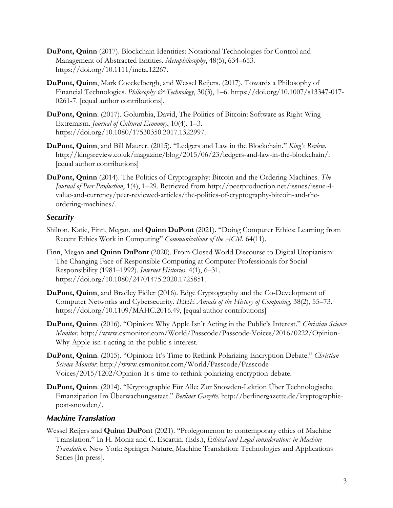- **DuPont, Quinn** (2017). Blockchain Identities: Notational Technologies for Control and Management of Abstracted Entities. *Metaphilosophy*, 48(5), 634–653. https://doi.org/10.1111/meta.12267.
- **DuPont, Quinn**, Mark Coeckelbergh, and Wessel Reijers. (2017). Towards a Philosophy of Financial Technologies. *Philosophy & Technology*, 30(3), 1–6. https://doi.org/10.1007/s13347-017- 0261-7. [equal author contributions].
- **DuPont, Quinn**. (2017). Golumbia, David, The Politics of Bitcoin: Software as Right-Wing Extremism. *Journal of Cultural Economy*, 10(4), 1–3. https://doi.org/10.1080/17530350.2017.1322997.
- **DuPont, Quinn**, and Bill Maurer. (2015). "Ledgers and Law in the Blockchain." *King's Review*. http://kingsreview.co.uk/magazine/blog/2015/06/23/ledgers-and-law-in-the-blockchain/. [equal author contributions]
- **DuPont, Quinn** (2014). The Politics of Cryptography: Bitcoin and the Ordering Machines. *The Journal of Peer Production*, 1(4), 1–29. Retrieved from http://peerproduction.net/issues/issue-4 value-and-currency/peer-reviewed-articles/the-politics-of-cryptography-bitcoin-and-theordering-machines/.

#### *Security*

- Shilton, Katie, Finn, Megan, and **Quinn DuPont** (2021). "Doing Computer Ethics: Learning from Recent Ethics Work in Computing" *Communications of the ACM.* 64(11).
- Finn, Megan **and Quinn DuPont** (2020). From Closed World Discourse to Digital Utopianism: The Changing Face of Responsible Computing at Computer Professionals for Social Responsibility (1981–1992). *Internet Histories*. 4(1), 6–31. https://doi.org/10.1080/24701475.2020.1725851.
- **DuPont, Quinn**, and Bradley Fidler (2016). Edge Cryptography and the Co-Development of Computer Networks and Cybersecurity. *IEEE Annals of the History of Computing*, 38(2), 55–73. https://doi.org/10.1109/MAHC.2016.49, [equal author contributions]
- **DuPont, Quinn**. (2016). "Opinion: Why Apple Isn't Acting in the Public's Interest." *Christian Science Monitor*. http://www.csmonitor.com/World/Passcode/Passcode-Voices/2016/0222/Opinion-Why-Apple-isn-t-acting-in-the-public-s-interest.
- **DuPont, Quinn**. (2015). "Opinion: It's Time to Rethink Polarizing Encryption Debate." *Christian Science Monitor*. http://www.csmonitor.com/World/Passcode/Passcode-Voices/2015/1202/Opinion-It-s-time-to-rethink-polarizing-encryption-debate.
- **DuPont, Quinn**. (2014). "Kryptographie Für Alle: Zur Snowden-Lektion Über Technologische Emanzipation Im Überwachungsstaat." *Berliner Gazette*. http://berlinergazette.de/kryptographiepost-snowden/.

#### *Machine Translation*

Wessel Reijers and **Quinn DuPont** (2021). "Prolegomenon to contemporary ethics of Machine Translation." In H. Moniz and C. Escartin. (Eds.), *Ethical and Legal considerations in Machine Translation*. New York: Springer Nature, Machine Translation: Technologies and Applications Series [In press].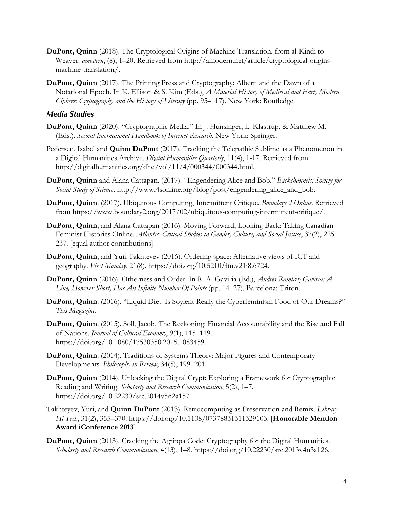- **DuPont, Quinn** (2018). The Cryptological Origins of Machine Translation, from al-Kindi to Weaver. *amodern*, (8), 1–20. Retrieved from http://amodern.net/article/cryptological-originsmachine-translation/.
- **DuPont, Quinn** (2017). The Printing Press and Cryptography: Alberti and the Dawn of a Notational Epoch. In K. Ellison & S. Kim (Eds.), *A Material History of Medieval and Early Modern Ciphers: Cryptography and the History of Literacy* (pp. 95–117). New York: Routledge.

#### *Media Studies*

- **DuPont, Quinn** (2020). "Cryptographic Media." In J. Hunsinger, L. Klastrup, & Matthew M. (Eds.), *Second International Handbook of Internet Research*. New York: Springer.
- Pedersen, Isabel and **Quinn DuPont** (2017). Tracking the Telepathic Sublime as a Phenomenon in a Digital Humanities Archive. *Digital Humanities Quarterly*, 11(4), 1-17. Retrieved from http://digitalhumanities.org/dhq/vol/11/4/000344/000344.html.
- **DuPont, Quinn** and Alana Cattapan. (2017). "Engendering Alice and Bob." *Backchannels: Society for Social Study of Science*. http://www.4sonline.org/blog/post/engendering\_alice\_and\_bob.
- **DuPont, Quinn**. (2017). Ubiquitous Computing, Intermittent Critique. *Boundary 2 Online*. Retrieved from https://www.boundary2.org/2017/02/ubiquitous-computing-intermittent-critique/.
- **DuPont, Quinn**, and Alana Cattapan (2016). Moving Forward, Looking Back: Taking Canadian Feminist Histories Online. *Atlantis: Critical Studies in Gender, Culture, and Social Justice*, 37(2), 225– 237. [equal author contributions]
- **DuPont, Quinn**, and Yuri Takhteyev (2016). Ordering space: Alternative views of ICT and geography. *First Monday*, 21(8). https://doi.org/10.5210/fm.v21i8.6724.
- **DuPont, Quinn** (2016). Otherness and Order. In R. A. Gaviria (Ed.), *Andrés Ramírez Gaviria: A Line, However Short, Has An Infinite Number Of Points* (pp. 14–27). Barcelona: Triton.
- **DuPont, Quinn**. (2016). "Liquid Diet: Is Soylent Really the Cyberfeminism Food of Our Dreams?" *This Magazine*.
- **DuPont, Quinn**. (2015). Soll, Jacob, The Reckoning: Financial Accountability and the Rise and Fall of Nations. *Journal of Cultural Economy*, 9(1), 115–119. https://doi.org/10.1080/17530350.2015.1083459.
- **DuPont, Quinn**. (2014). Traditions of Systems Theory: Major Figures and Contemporary Developments. *Philosophy in Review*, 34(5), 199–201.
- **DuPont, Quinn** (2014). Unlocking the Digital Crypt: Exploring a Framework for Cryptographic Reading and Writing. *Scholarly and Research Communication*, 5(2), 1–7. https://doi.org/10.22230/src.2014v5n2a157.
- Takhteyev, Yuri, and **Quinn DuPont** (2013). Retrocomputing as Preservation and Remix. *Library Hi Tech*, 31(2), 355–370. https://doi.org/10.1108/07378831311329103. [**Honorable Mention Award iConference 2013**]
- **DuPont, Quinn** (2013). Cracking the Agrippa Code: Cryptography for the Digital Humanities. *Scholarly and Research Communication*, 4(13), 1–8. https://doi.org/10.22230/src.2013v4n3a126.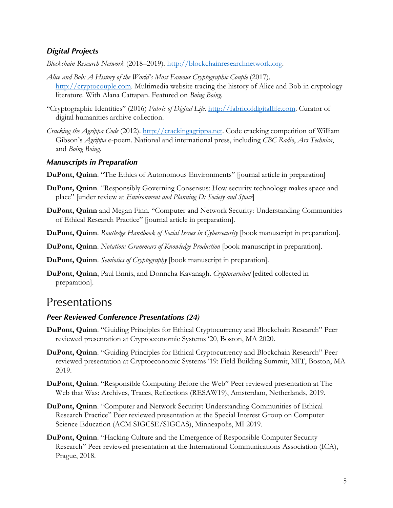#### *Digital Projects*

*Blockchain Research Network* (2018–2019)*.* http://blockchainresearchnetwork.org.

- Alice and Bob: A History of the World's Most Famous Cryptographic Couple (2017). http://cryptocouple.com. Multimedia website tracing the history of Alice and Bob in cryptology literature. With Alana Cattapan. Featured on *Boing Boing*.
- "Cryptographic Identities" (2016) *Fabric of Digital Life.* http://fabricofdigitallife.com. Curator of digital humanities archive collection.
- *Cracking the Agrippa Code* (2012). http://crackingagrippa.net. Code cracking competition of William Gibson's *Agrippa* e-poem. National and international press, including *CBC Radio*, *Ars Technica*, and *Boing Boing*.

#### *Manuscripts in Preparation*

- **DuPont, Quinn.** "The Ethics of Autonomous Environments" [journal article in preparation]
- **DuPont, Quinn**. "Responsibly Governing Consensus: How security technology makes space and place" [under review at *Environment and Planning D: Society and Space*]
- **DuPont, Quinn** and Megan Finn. "Computer and Network Security: Understanding Communities of Ethical Research Practice" [journal article in preparation].
- **DuPont, Quinn**. *Routledge Handbook of Social Issues in Cybersecurity* [book manuscript in preparation].
- **DuPont, Quinn**. *Notation: Grammars of Knowledge Production* [book manuscript in preparation].
- **DuPont, Quinn**. *Semiotics of Cryptography* [book manuscript in preparation].
- **DuPont, Quinn**, Paul Ennis, and Donncha Kavanagh. *Cryptocarnival* [edited collected in preparation].

## **Presentations**

#### *Peer Reviewed Conference Presentations (24)*

- **DuPont, Quinn**. "Guiding Principles for Ethical Cryptocurrency and Blockchain Research" Peer reviewed presentation at Cryptoeconomic Systems '20, Boston, MA 2020.
- **DuPont, Quinn**. "Guiding Principles for Ethical Cryptocurrency and Blockchain Research" Peer reviewed presentation at Cryptoeconomic Systems '19: Field Building Summit, MIT, Boston, MA 2019.
- **DuPont, Quinn**. "Responsible Computing Before the Web" Peer reviewed presentation at The Web that Was: Archives, Traces, Reflections (RESAW19), Amsterdam, Netherlands, 2019.
- **DuPont, Quinn**. "Computer and Network Security: Understanding Communities of Ethical Research Practice" Peer reviewed presentation at the Special Interest Group on Computer Science Education (ACM SIGCSE/SIGCAS), Minneapolis, MI 2019.
- **DuPont, Quinn**. "Hacking Culture and the Emergence of Responsible Computer Security Research" Peer reviewed presentation at the International Communications Association (ICA), Prague, 2018.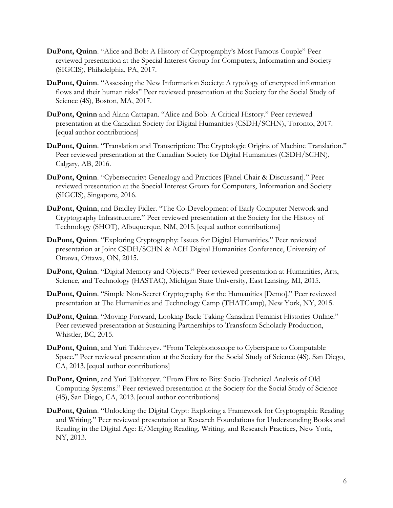- **DuPont, Quinn**. "Alice and Bob: A History of Cryptography's Most Famous Couple" Peer reviewed presentation at the Special Interest Group for Computers, Information and Society (SIGCIS), Philadelphia, PA, 2017.
- **DuPont, Quinn**. "Assessing the New Information Society: A typology of encrypted information flows and their human risks" Peer reviewed presentation at the Society for the Social Study of Science (4S), Boston, MA, 2017.
- **DuPont, Quinn** and Alana Cattapan. "Alice and Bob: A Critical History." Peer reviewed presentation at the Canadian Society for Digital Humanities (CSDH/SCHN), Toronto, 2017. [equal author contributions]
- **DuPont, Quinn**. "Translation and Transcription: The Cryptologic Origins of Machine Translation." Peer reviewed presentation at the Canadian Society for Digital Humanities (CSDH/SCHN), Calgary, AB, 2016.
- **DuPont, Quinn**. "Cybersecurity: Genealogy and Practices [Panel Chair & Discussant]." Peer reviewed presentation at the Special Interest Group for Computers, Information and Society (SIGCIS), Singapore, 2016.
- **DuPont, Quinn**, and Bradley Fidler. "The Co-Development of Early Computer Network and Cryptography Infrastructure." Peer reviewed presentation at the Society for the History of Technology (SHOT), Albuquerque, NM, 2015. [equal author contributions]
- **DuPont, Quinn**. "Exploring Cryptography: Issues for Digital Humanities." Peer reviewed presentation at Joint CSDH/SCHN & ACH Digital Humanities Conference, University of Ottawa, Ottawa, ON, 2015.
- **DuPont, Quinn**. "Digital Memory and Objects." Peer reviewed presentation at Humanities, Arts, Science, and Technology (HASTAC), Michigan State University, East Lansing, MI, 2015.
- **DuPont, Quinn**. "Simple Non-Secret Cryptography for the Humanities [Demo]." Peer reviewed presentation at The Humanities and Technology Camp (THATCamp), New York, NY, 2015.
- **DuPont, Quinn**. "Moving Forward, Looking Back: Taking Canadian Feminist Histories Online." Peer reviewed presentation at Sustaining Partnerships to Transform Scholarly Production, Whistler, BC, 2015.
- **DuPont, Quinn**, and Yuri Takhteyev. "From Telephonoscope to Cyberspace to Computable Space." Peer reviewed presentation at the Society for the Social Study of Science (4S), San Diego, CA, 2013. [equal author contributions]
- **DuPont, Quinn**, and Yuri Takhteyev. "From Flux to Bits: Socio-Technical Analysis of Old Computing Systems." Peer reviewed presentation at the Society for the Social Study of Science (4S), San Diego, CA, 2013. [equal author contributions]
- **DuPont, Quinn**. "Unlocking the Digital Crypt: Exploring a Framework for Cryptographic Reading and Writing." Peer reviewed presentation at Research Foundations for Understanding Books and Reading in the Digital Age: E/Merging Reading, Writing, and Research Practices, New York, NY, 2013.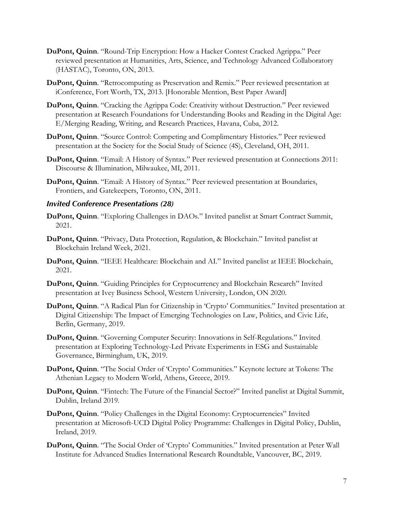- **DuPont, Quinn**. "Round-Trip Encryption: How a Hacker Contest Cracked Agrippa." Peer reviewed presentation at Humanities, Arts, Science, and Technology Advanced Collaboratory (HASTAC), Toronto, ON, 2013.
- **DuPont, Quinn**. "Retrocomputing as Preservation and Remix." Peer reviewed presentation at iConference, Fort Worth, TX, 2013. [Honorable Mention, Best Paper Award]
- **DuPont, Quinn**. "Cracking the Agrippa Code: Creativity without Destruction." Peer reviewed presentation at Research Foundations for Understanding Books and Reading in the Digital Age: E/Merging Reading, Writing, and Research Practices, Havana, Cuba, 2012.
- **DuPont, Quinn**. "Source Control: Competing and Complimentary Histories." Peer reviewed presentation at the Society for the Social Study of Science (4S), Cleveland, OH, 2011.
- **DuPont, Quinn**. "Email: A History of Syntax." Peer reviewed presentation at Connections 2011: Discourse & Illumination, Milwaukee, MI, 2011.
- **DuPont, Quinn**. "Email: A History of Syntax." Peer reviewed presentation at Boundaries, Frontiers, and Gatekeepers, Toronto, ON, 2011.

#### *Invited Conference Presentations (28)*

- **DuPont, Quinn**. "Exploring Challenges in DAOs." Invited panelist at Smart Contract Summit, 2021.
- **DuPont, Quinn**. "Privacy, Data Protection, Regulation, & Blockchain." Invited panelist at Blockchain Ireland Week, 2021.
- **DuPont, Quinn**. "IEEE Healthcare: Blockchain and AI." Invited panelist at IEEE Blockchain, 2021.
- **DuPont, Quinn**. "Guiding Principles for Cryptocurrency and Blockchain Research" Invited presentation at Ivey Business School, Western University, London, ON 2020.
- **DuPont, Quinn**. "A Radical Plan for Citizenship in 'Crypto' Communities." Invited presentation at Digital Citizenship: The Impact of Emerging Technologies on Law, Politics, and Civic Life, Berlin, Germany, 2019.
- **DuPont, Quinn**. "Governing Computer Security: Innovations in Self-Regulations." Invited presentation at Exploring Technology-Led Private Experiments in ESG and Sustainable Governance, Birmingham, UK, 2019.
- **DuPont, Quinn**. "The Social Order of 'Crypto' Communities." Keynote lecture at Tokens: The Athenian Legacy to Modern World, Athens, Greece, 2019.
- **DuPont, Quinn**. "Fintech: The Future of the Financial Sector?" Invited panelist at Digital Summit, Dublin, Ireland 2019.
- **DuPont, Quinn**. "Policy Challenges in the Digital Economy: Cryptocurrencies" Invited presentation at Microsoft-UCD Digital Policy Programme: Challenges in Digital Policy, Dublin, Ireland, 2019.
- **DuPont, Quinn**. "The Social Order of 'Crypto' Communities." Invited presentation at Peter Wall Institute for Advanced Studies International Research Roundtable, Vancouver, BC, 2019.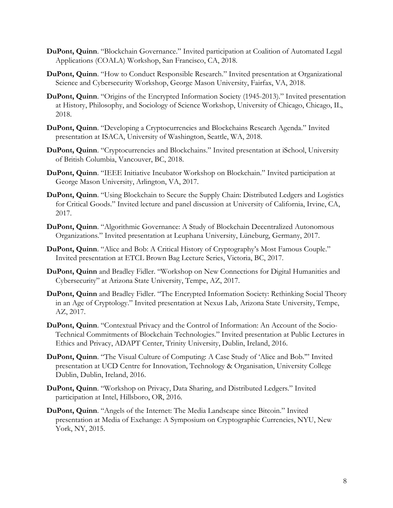- **DuPont, Quinn**. "Blockchain Governance." Invited participation at Coalition of Automated Legal Applications (COALA) Workshop, San Francisco, CA, 2018.
- **DuPont, Quinn**. "How to Conduct Responsible Research." Invited presentation at Organizational Science and Cybersecurity Workshop, George Mason University, Fairfax, VA, 2018.
- **DuPont, Quinn**. "Origins of the Encrypted Information Society (1945-2013)." Invited presentation at History, Philosophy, and Sociology of Science Workshop, University of Chicago, Chicago, IL, 2018.
- **DuPont, Quinn**. "Developing a Cryptocurrencies and Blockchains Research Agenda." Invited presentation at ISACA, University of Washington, Seattle, WA, 2018.
- **DuPont, Quinn**. "Cryptocurrencies and Blockchains." Invited presentation at iSchool, University of British Columbia, Vancouver, BC, 2018.
- **DuPont, Quinn**. "IEEE Initiative Incubator Workshop on Blockchain." Invited participation at George Mason University, Arlington, VA, 2017.
- **DuPont, Quinn**. "Using Blockchain to Secure the Supply Chain: Distributed Ledgers and Logistics for Critical Goods." Invited lecture and panel discussion at University of California, Irvine, CA, 2017.
- **DuPont, Quinn**. "Algorithmic Governance: A Study of Blockchain Decentralized Autonomous Organizations." Invited presentation at Leuphana University, Lüneburg, Germany, 2017.
- **DuPont, Quinn**. "Alice and Bob: A Critical History of Cryptography's Most Famous Couple." Invited presentation at ETCL Brown Bag Lecture Series, Victoria, BC, 2017.
- **DuPont, Quinn** and Bradley Fidler. "Workshop on New Connections for Digital Humanities and Cybersecurity" at Arizona State University, Tempe, AZ, 2017.
- **DuPont, Quinn** and Bradley Fidler. "The Encrypted Information Society: Rethinking Social Theory in an Age of Cryptology." Invited presentation at Nexus Lab, Arizona State University, Tempe, AZ, 2017.
- **DuPont, Quinn**. "Contextual Privacy and the Control of Information: An Account of the Socio-Technical Commitments of Blockchain Technologies." Invited presentation at Public Lectures in Ethics and Privacy, ADAPT Center, Trinity University, Dublin, Ireland, 2016.
- **DuPont, Quinn**. "The Visual Culture of Computing: A Case Study of 'Alice and Bob.'" Invited presentation at UCD Centre for Innovation, Technology & Organisation, University College Dublin, Dublin, Ireland, 2016.
- **DuPont, Quinn**. "Workshop on Privacy, Data Sharing, and Distributed Ledgers." Invited participation at Intel, Hillsboro, OR, 2016.
- **DuPont, Quinn**. "Angels of the Internet: The Media Landscape since Bitcoin." Invited presentation at Media of Exchange: A Symposium on Cryptographic Currencies, NYU, New York, NY, 2015.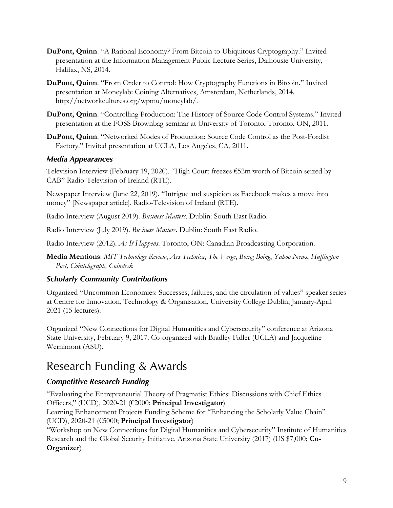- **DuPont, Quinn**. "A Rational Economy? From Bitcoin to Ubiquitous Cryptography." Invited presentation at the Information Management Public Lecture Series, Dalhousie University, Halifax, NS, 2014.
- **DuPont, Quinn**. "From Order to Control: How Cryptography Functions in Bitcoin." Invited presentation at Moneylab: Coining Alternatives, Amsterdam, Netherlands, 2014. http://networkcultures.org/wpmu/moneylab/.
- **DuPont, Quinn**. "Controlling Production: The History of Source Code Control Systems." Invited presentation at the FOSS Brownbag seminar at University of Toronto, Toronto, ON, 2011.
- **DuPont, Quinn**. "Networked Modes of Production: Source Code Control as the Post-Fordist Factory." Invited presentation at UCLA, Los Angeles, CA, 2011.

#### *Media Appearances*

Television Interview (February 19, 2020). "High Court freezes €52m worth of Bitcoin seized by CAB" Radio-Television of Ireland (RTE).

Newspaper Interview (June 22, 2019). "Intrigue and suspicion as Facebook makes a move into money" [Newspaper article]. Radio-Television of Ireland (RTE).

Radio Interview (August 2019). *Business Matters*. Dublin: South East Radio.

Radio Interview (July 2019). *Business Matters*. Dublin: South East Radio.

Radio Interview (2012). *As It Happens*. Toronto, ON: Canadian Broadcasting Corporation.

**Media Mentions**: *MIT Technology Review*, *Ars Technica*, *The Verge*, *Boing Boing*, *Yahoo News*, *Huffington Post, Cointelegraph, Coindesk*

#### *Scholarly Community Contributions*

Organized "Uncommon Economies: Successes, failures, and the circulation of values" speaker series at Centre for Innovation, Technology & Organisation, University College Dublin, January-April 2021 (15 lectures).

Organized "New Connections for Digital Humanities and Cybersecurity" conference at Arizona State University, February 9, 2017. Co-organized with Bradley Fidler (UCLA) and Jacqueline Wernimont (ASU).

# Research Funding & Awards

### *Competitive Research Funding*

"Evaluating the Entrepreneurial Theory of Pragmatist Ethics: Discussions with Chief Ethics Officers," (UCD), 2020-21 (€2000; **Principal Investigator**)

Learning Enhancement Projects Funding Scheme for "Enhancing the Scholarly Value Chain" (UCD), 2020-21 (€5000; **Principal Investigator**)

"Workshop on New Connections for Digital Humanities and Cybersecurity" Institute of Humanities Research and the Global Security Initiative, Arizona State University (2017) (US \$7,000; **Co-Organizer**)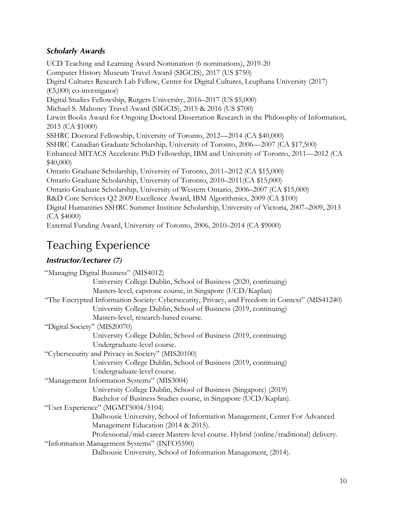### *Scholarly Awards*

UCD Teaching and Learning Award Nomination (6 nominations), 2019-20 Computer History Museum Travel Award (SIGCIS), 2017 (US \$750) Digital Cultures Research Lab Fellow, Center for Digital Cultures, Leuphana University (2017) (€5,000; co-investigator) Digital Studies Fellowship, Rutgers University, 2016–2017 (US \$5,000) Michael S. Mahoney Travel Award (SIGCIS), 2015 & 2016 (US \$700) Litwin Books Award for Ongoing Doctoral Dissertation Research in the Philosophy of Information, 2015 (CA \$1000) SSHRC Doctoral Fellowship, University of Toronto, 2012—2014 (CA \$40,000) SSHRC Canadian Graduate Scholarship, University of Toronto, 2006—2007 (CA \$17,500) Enhanced MITACS Accelerate PhD Fellowship, IBM and University of Toronto, 2011—2012 (CA \$40,000) Ontario Graduate Scholarship, University of Toronto, 2011–2012 (CA \$15,000) Ontario Graduate Scholarship, University of Toronto, 2010–2011(CA \$15,000) Ontario Graduate Scholarship, University of Western Ontario, 2006–2007 (CA \$15,000) R&D Core Services Q2 2009 Excellence Award, IBM Algorithmics, 2009 (CA \$100) Digital Humanities SSHRC Summer Institute Scholarship, University of Victoria, 2007–2009, 2013 (CA \$4000) External Funding Award, University of Toronto, 2006, 2010–2014 (CA \$9000)

# Teaching Experience

### *Instructor/Lecturer (7)*

| "Managing Digital Business" (MIS4012)                                                          |
|------------------------------------------------------------------------------------------------|
| University College Dublin, School of Business (2020, continuing)                               |
| Masters-level, capstone course, in Singapore (UCD/Kaplan)                                      |
| "The Encrypted Information Society: Cybersecurity, Privacy, and Freedom in Context" (MIS41240) |
| University College Dublin, School of Business (2019, continuing)                               |
| Masters-level, research-based course.                                                          |
| "Digital Society" (MIS20070)                                                                   |
| University College Dublin, School of Business (2019, continuing)                               |
| Undergraduate-level course.                                                                    |
| "Cybersecurity and Privacy in Society" (MIS20100)                                              |
| University College Dublin, School of Business (2019, continuing)                               |
| Undergraduate-level course.                                                                    |
| "Management Information Systems" (MIS3004)                                                     |
| University College Dublin, School of Business (Singapore) (2019)                               |
| Bachelor of Business Studies course, in Singapore (UCD/Kaplan).                                |
| "User Experience" (MGMT5004/5104)                                                              |
| Dalhousie University, School of Information Management, Center For Advanced                    |
| Management Education (2014 & 2015).                                                            |
| Professional/mid-career Masters-level course. Hybrid (online/traditional) delivery.            |
| "Information Management Systems" (INFO5590)                                                    |
| Dalhousie University, School of Information Management, (2014).                                |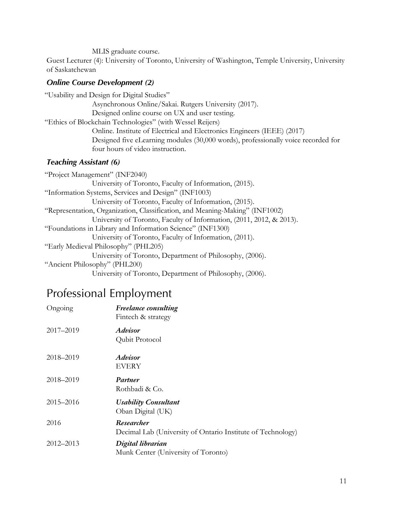MLIS graduate course.

Guest Lecturer (4): University of Toronto, University of Washington, Temple University, University of Saskatchewan

#### *Online Course Development (2)*

"Usability and Design for Digital Studies" Asynchronous Online/Sakai. Rutgers University (2017). Designed online course on UX and user testing. "Ethics of Blockchain Technologies" (with Wessel Reijers) Online. Institute of Electrical and Electronics Engineers (IEEE) (2017) Designed five eLearning modules (30,000 words), professionally voice recorded for four hours of video instruction.

#### *Teaching Assistant (6)*

# Professional Employment

| Ongoing   | <b>Freelance consulting</b><br>Fintech & strategy                         |
|-----------|---------------------------------------------------------------------------|
| 2017-2019 | <i><b>Advisor</b></i><br>Qubit Protocol                                   |
| 2018–2019 | <i><b>Advisor</b></i><br>EVERY                                            |
| 2018–2019 | Partner<br>Rothbadi & Co.                                                 |
| 2015–2016 | <b>Usability Consultant</b><br>Oban Digital (UK)                          |
| 2016      | Researcher<br>Decimal Lab (University of Ontario Institute of Technology) |
| 2012-2013 | Digital librarian<br>Munk Center (University of Toronto)                  |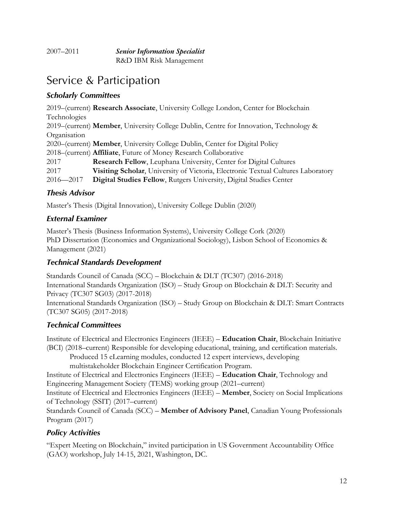| 2007–2011 | <b>Senior Information Specialist</b> |
|-----------|--------------------------------------|
|           | R&D IBM Risk Management              |

# Service & Participation

### *Scholarly Committees*

2019–(current) **Research Associate**, University College London, Center for Blockchain Technologies 2019–(current) **Member**, University College Dublin, Centre for Innovation, Technology & **Organisation** 2020–(current) **Member**, University College Dublin, Center for Digital Policy 2018–(current) **Affiliate**, Future of Money Research Collaborative 2017 **Research Fellow**, Leuphana University, Center for Digital Cultures 2017 **Visiting Scholar**, University of Victoria, Electronic Textual Cultures Laboratory 2016—2017 **Digital Studies Fellow**, Rutgers University, Digital Studies Center

#### *Thesis Advisor*

Master's Thesis (Digital Innovation), University College Dublin (2020)

#### *External Examiner*

Master's Thesis (Business Information Systems), University College Cork (2020) PhD Dissertation (Economics and Organizational Sociology), Lisbon School of Economics & Management (2021)

### *Technical Standards Development*

Standards Council of Canada (SCC) – Blockchain & DLT (TC307) (2016-2018) International Standards Organization (ISO) – Study Group on Blockchain & DLT: Security and Privacy (TC307 SG03) (2017-2018) International Standards Organization (ISO) – Study Group on Blockchain & DLT: Smart Contracts (TC307 SG05) (2017-2018)

### *Technical Committees*

Institute of Electrical and Electronics Engineers (IEEE) – **Education Chair**, Blockchain Initiative (BCI) (2018–current) Responsible for developing educational, training, and certification materials. Produced 15 eLearning modules, conducted 12 expert interviews, developing multistakeholder Blockchain Engineer Certification Program.

Institute of Electrical and Electronics Engineers (IEEE) – **Education Chair**, Technology and Engineering Management Society (TEMS) working group (2021–current)

Institute of Electrical and Electronics Engineers (IEEE) – **Member**, Society on Social Implications of Technology (SSIT) (2017–current)

Standards Council of Canada (SCC) – **Member of Advisory Panel**, Canadian Young Professionals Program (2017)

### *Policy Activities*

"Expert Meeting on Blockchain," invited participation in US Government Accountability Office (GAO) workshop, July 14-15, 2021, Washington, DC.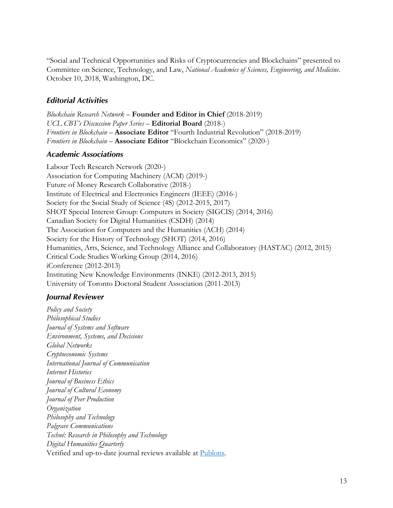"Social and Technical Opportunities and Risks of Cryptocurrencies and Blockchains" presented to Committee on Science, Technology, and Law, *National Academies of Sciences, Engineering, and Medicine*. October 10, 2018, Washington, DC.

#### *Editorial Activities*

*Blockchain Research Network* – **Founder and Editor in Chief** (2018-2019) *UCL CBT's Discussion Paper Series* – **Editorial Board** (2018-) *Frontiers in Blockchain* – **Associate Editor** "Fourth Industrial Revolution" (2018-2019) *Frontiers in Blockchain* – **Associate Editor** "Blockchain Economics" (2020-)

#### *Academic Associations*

Labour Tech Research Network (2020-) Association for Computing Machinery (ACM) (2019-) Future of Money Research Collaborative (2018-) Institute of Electrical and Electronics Engineers (IEEE) (2016-) Society for the Social Study of Science (4S) (2012-2015, 2017) SHOT Special Interest Group: Computers in Society (SIGCIS) (2014, 2016) Canadian Society for Digital Humanities (CSDH) (2014) The Association for Computers and the Humanities (ACH) (2014) Society for the History of Technology (SHOT) (2014, 2016) Humanities, Arts, Science, and Technology Alliance and Collaboratory (HASTAC) (2012, 2015) Critical Code Studies Working Group (2014, 2016) iConference (2012-2013) Instituting New Knowledge Environments (INKE) (2012-2013, 2015) University of Toronto Doctoral Student Association (2011-2013)

#### *Journal Reviewer*

*Policy and Society Philosophical Studies Journal of Systems and Software Environment, Systems, and Decisions Global Networks Cryptoeconomic Systems International Journal of Communication Internet Histories Journal of Business Ethics Journal of Cultural Economy Journal of Peer Production Organization Philosophy and Technology Palgrave Communications Techné: Research in Philosophy and Technology Digital Humanities Quarterly* Verified and up-to-date journal reviews available at Publons.